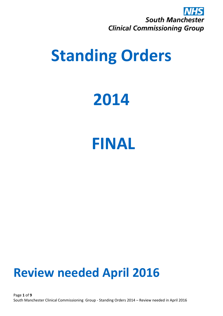

## **Standing Orders**

## **2014**

### **FINAL**

### **Review needed April 2016**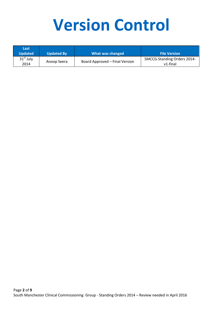# **Version Control**

| Last<br><b>Updated</b> | <b>Updated By</b> | What was changed               | <b>File Version</b>                     |
|------------------------|-------------------|--------------------------------|-----------------------------------------|
| $31st$ July<br>2014    | Anoop Seera       | Board Approved - Final Version | SMCCG-Standing Orders 2014-<br>v1-final |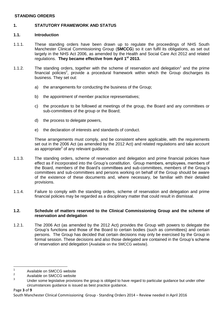#### **STANDING ORDERS**

#### **1. STATUTORY FRAMEWORK AND STATUS**

#### **1.1. Introduction**

- 1.1.1. These standing orders have been drawn up to regulate the proceedings of NHS South Manchester Clinical Commissioning Group (**SMCCG**) so it can fulfil its obligations, as set out largely in the NHS Act 2006, as amended by the Health and Social Care Act 2012 and related regulations. **They became effective from April 1st 2013.**
- 1.1.2. The standing orders, together with the scheme of reservation and delegation<sup>1</sup> and the prime financial policies<sup>2</sup>, provide a procedural framework within which the Group discharges its business. They set out:
	- a) the arrangements for conducting the business of the Group;
	- b) the appointment of member practice representatives;
	- c) the procedure to be followed at meetings of the group, the Board and any committees or sub-committees of the group or the Board;
	- d) the process to delegate powers,
	- e) the declaration of interests and standards of conduct.

These arrangements must comply, and be consistent where applicable, with the requirements set out in the 2006 Act (as amended by the 2012 Act) and related regulations and take account as appropriate<sup>3</sup> of any relevant guidance.

- 1.1.3. The standing orders, scheme of reservation and delegation and prime financial policies have effect as if incorporated into the Group's constitution. Group members, employees, members of the Board, members of the Board's committees and sub-committees, members of the Group's committees and sub-committees and persons working on behalf of the Group should be aware of the existence of these documents and, where necessary, be familiar with their detailed provisions.
- 1.1.4. Failure to comply with the standing orders, scheme of reservation and delegation and prime financial policies may be regarded as a disciplinary matter that could result in dismissal.

#### **1.2. Schedule of matters reserved to the Clinical Commissioning Group and the scheme of reservation and delegation**

1.2.1. The 2006 Act (as amended by the 2012 Act) provides the Group with powers to delegate the Group's functions and those of the Board to certain bodies (such as committees) and certain persons. The Group has decided that certain decisions may only be exercised by the Group in formal session. These decisions and also those delegated are contained in the Group's scheme of reservation and delegation (Available on the SMCCG website).

 $\frac{1}{1}$ Available on SMCCG website

 $\overline{2}$ Available on SMCCG website

<sup>&</sup>lt;sup>3</sup> Under some legislative provisions the group is obliged to have regard to particular guidance but under other circumstances guidance is issued as best practice guidance.

Page **3** of **9**

South Manchester Clinical Commissioning Group - Standing Orders 2014 – Review needed in April 2016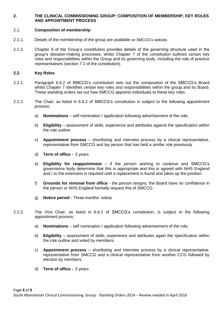#### **2. THE CLINICAL COMMISSIONING GROUP: COMPOSITION OF MEMBERSHIP, KEY ROLES AND APPOINTMENT PROCESS**

#### 2.1. **Composition of membership**

- 2.1.1. Details of the membership of the group are available on SMCCG's website.
- 2.1.2. Chapter 6 of the Group's constitution provides details of the governing structure used in the group's decision-making processes, whilst Chapter 7 of the constitution outlines certain key roles and responsibilities within the Group and its governing body, including the role of practice representatives (section 7.1 of the constitution).

#### **2.2. Key Roles**

- 2.2.1. Paragraph 6.6.2 of SMCCG's constitution sets out the composition of the SMCCG's Board whilst Chapter 7 identifies certain key roles and responsibilities within the group and its Board. These standing orders set out how SMCCG appoints individuals to these key roles.
- 2.2.2. The Chair, as listed in 6.6.2 of SMCCG's constitution is subject to the following appointment process:
	- a) **Nominations** self nomination / application following advertisement of the role;
	- b) **Eligibility** assessment of skills, experience and attributes against the specification within the role outline
	- c) **Appointment process** shortlisting and interview process by a clinical representative, representative from SMCCG and lay person that has held a similar role previously
	- d) **Term of office** 3 years
	- e) **Eligibility for reappointment** if the person wishing to continue and SMCCG's governance body determine that this is appropriate and this is agreed with NHS England and / or the extension is required until a replacement is found and takes up the position
	- f) **Grounds for removal from office** the person resigns, the Board have no confidence in the person or NHS England formally request this of SMCCG
	- g) **Notice period** Three months' notice
- 2.2.3. The Vice Chair, as listed in 6.6.2 of SMCCG's constitution, is subject to the following appointment process:
	- a) **Nominations** self nomination / application following advertisement of the role;
	- b) **Eligibility** assessment of skills, experience and attributes again the specification within the role outline and voted by members;
	- c) **Appointment process** shortlisting and interview process by a clinical representative, representative from SMCCG and a clinical representative from another CCG followed by election by members;
	- d) **Term of office** 3 years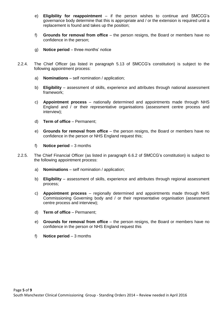- e) **Eligibility for reappointment** if the person wishes to continue and SMCCG's governance body determine that this is appropriate and / or the extension is required until a replacement is found and takes up the position;
- f) **Grounds for removal from office** the person resigns, the Board or members have no confidence in the person;
- g) **Notice period** three months' notice
- 2.2.4. The Chief Officer (as listed in paragraph 5.13 of SMCCG's constitution) is subject to the following appointment process:
	- a) **Nominations** self nomination / application;
	- b) **Eligibility** assessment of skills, experience and attributes through national assessment framework;
	- c) **Appointment process** nationally determined and appointments made through NHS England and / or their representative organisations (assessment centre process and interview);
	- d) **Term of office** Permanent;
	- e) **Grounds for removal from office** the person resigns, the Board or members have no confidence in the person or NHS England request this;
	- f) **Notice period** 3 months
- 2.2.5. The Chief Financial Officer (as listed in paragraph 6.6.2 of SMCCG's constitution) is subject to the following appointment process:
	- a) **Nominations** self nomination / application;
	- b) **Eligibility** assessment of skills, experience and attributes through regional assessment process;
	- c) **Appointment process** regionally determined and appointments made through NHS Commissioning Governing body and / or their representative organisation (assessment centre process and interview);
	- d) **Term of office** Permanent;
	- e) **Grounds for removal from office** the person resigns, the Board or members have no confidence in the person or NHS England request this
	- f) **Notice period** 3 months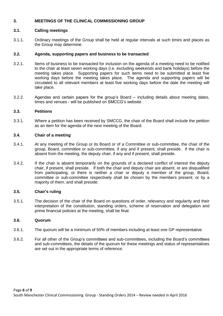#### **3. MEETINGS OF THE CLINICAL COMMISSIONING GROUP**

#### **3.1. Calling meetings**

3.1.1. Ordinary meetings of the Group shall be held at regular intervals at such times and places as the Group may determine.

#### **3.2. Agenda, supporting papers and business to be transacted**

- 3.2.1. Items of business to be transacted for inclusion on the agenda of a meeting need to be notified to the chair at least seven working days (i.e. excluding weekends and bank holidays) before the meeting takes place. Supporting papers for such items need to be submitted at least five working days before the meeting takes place. The agenda and supporting papers will be circulated to all relevant members at least five working days before the date the meeting will take place.
- 3.2.2. Agendas and certain papers for the group's Board including details about meeting dates, times and venues - will be published on SMCCG's website.

#### **3.3. Petitions**

3.3.1. Where a petition has been received by SMCCG, the chair of the Board shall include the petition as an item for the agenda of the next meeting of the Board.

#### **3.4. Chair of a meeting**

- 3.4.1. At any meeting of the Group or its Board or of a Committee or sub-committee, the chair of the group, Board, committee or sub-committee, if any and if present, shall preside. If the chair is absent from the meeting, the deputy chair, if any and if present, shall preside.
- 3.4.2. If the chair is absent temporarily on the grounds of a declared conflict of interest the deputy chair, if present, shall preside. If both the chair and deputy chair are absent, or are disqualified from participating, or there is neither a chair or deputy a member of the group, Board, committee or sub-committee respectively shall be chosen by the members present, or by a majority of them, and shall preside.

#### **3.5. Chair's ruling**

3.5.1. The decision of the chair of the Board on questions of order, relevancy and regularity and their interpretation of the constitution, standing orders, scheme of reservation and delegation and prime financial policies at the meeting, shall be final.

#### **3.6. Quorum**

- 3.6.1. The quorum will be a minimum of 50% of members including at least one GP representative.
- 3.6.2. For all other of the Group's committees and sub-committees, including the Board's committees and sub-committees, the details of the quorum for these meetings and status of representatives are set out in the appropriate terms of reference.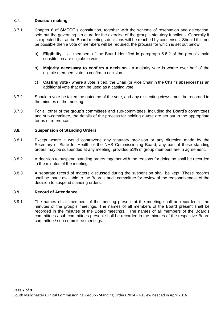#### 3.7. **Decision making**

- 3.7.1. Chapter 6 of SMCCG's constitution, together with the scheme of reservation and delegation, sets out the governing structure for the exercise of the group's statutory functions. Generally it is expected that at the Board meetings decisions will be reached by consensus. Should this not be possible then a vote of members will be required, the process for which is set out below:
	- a) **Eligibility** all members of the Board identified in paragraph 6.6.2 of the group's main constitution are eligible to vote;
	- b) **Majority necessary to confirm a decision** a majority vote is where over half of the eligible members vote to confirm a decision.
	- c) **Casting vote** where a vote is tied, the Chair (or Vice Chair in the Chair's absence) has an additional vote that can be used as a casting vote.
- 3.7.2. Should a vote be taken the outcome of the vote, and any dissenting views, must be recorded in the minutes of the meeting.
- 3.7.3. For all other of the group's committees and sub-committees, including the Board's committees and sub-committee, the details of the process for holding a vote are set out in the appropriate terms of reference.

#### **3.8. Suspension of Standing Orders**

- 3.8.1. Except where it would contravene any statutory provision or any direction made by the Secretary of State for Health or the NHS Commissioning Board, any part of these standing orders may be suspended at any meeting, provided 51% of group members are in agreement.
- 3.8.2. A decision to suspend standing orders together with the reasons for doing so shall be recorded in the minutes of the meeting.
- 3.8.3. A separate record of matters discussed during the suspension shall be kept. These records shall be made available to the Board's audit committee for review of the reasonableness of the decision to suspend standing orders.

#### **3.9. Record of Attendance**

3.9.1. The names of all members of the meeting present at the meeting shall be recorded in the minutes of the group's meetings. The names of all members of the Board present shall be recorded in the minutes of the Board meetings. The names of all members of the Board's committees / sub-committees present shall be recorded in the minutes of the respective Board committee / sub-committee meetings.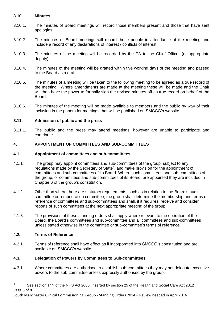#### **3.10. Minutes**

- 3.10.1. The minutes of Board meetings will record those members present and those that have sent apologies.
- 3.10.2. The minutes of Board meetings will record those people in attendance of the meeting and include a record of any declarations of interest / conflicts of interest.
- 3.10.3. The minutes of the meeting will be recorded by the PA to the Chief Officer (or appropriate deputy).
- 3.10.4. The minutes of the meeting will be drafted within five working days of the meeting and passed to the Board as a draft.
- 3.10.5. The minutes of a meeting will be taken to the following meeting to be agreed as a true record of the meeting. Where amendments are made at the meeting these will be made and the Chair will then have the power to formally sign the revised minutes off as true record on behalf of the Board.
- 3.10.6. The minutes of the meeting will be made available to members and the public by way of their inclusion in the papers for meetings that will be published on SMCCG's website.

#### **3.11. Admission of public and the press**

3.11.1. The public and the press may attend meetings, however are unable to participate and contribute.

#### **4. APPOINTMENT OF COMMITTEES AND SUB-COMMITTEES**

#### **4.1. Appointment of committees and sub-committees**

- 4.1.1. The group may appoint committees and sub-committees of the group, subject to any regulations made by the Secretary of State $4$ , and make provision for the appointment of committees and sub-committees of its Board. Where such committees and sub-committees of the group, or committees and sub-committees of its Board, are appointed they are included in Chapter 6 of the group's constitution.
- 4.1.2. Other than where there are statutory requirements, such as in relation to the Board's audit committee or remuneration committee, the group shall determine the membership and terms of reference of committees and sub-committees and shall, if it requires, receive and consider reports of such committees at the next appropriate meeting of the group.
- 4.1.3. The provisions of these standing orders shall apply where relevant to the operation of the Board, the Board's committees and sub-committee and all committees and sub-committees unless stated otherwise in the committee or sub-committee's terms of reference.

#### **4.2. Terms of Reference**

4.2.1. Terms of reference shall have effect as if incorporated into SMCCG's constitution and are available on SMCCG's website.

#### **4.3. Delegation of Powers by Committees to Sub-committees**

4.3.1. Where committees are authorised to establish sub-committees they may not delegate executive powers to the sub-committee unless expressly authorised by the group.

Page **8** of **9**  $\frac{1}{4}$ See section 14N of the NHS Act 2006, inserted by section 25 of the Health and Social Care Act 2012

South Manchester Clinical Commissioning Group - Standing Orders 2014 – Review needed in April 2016